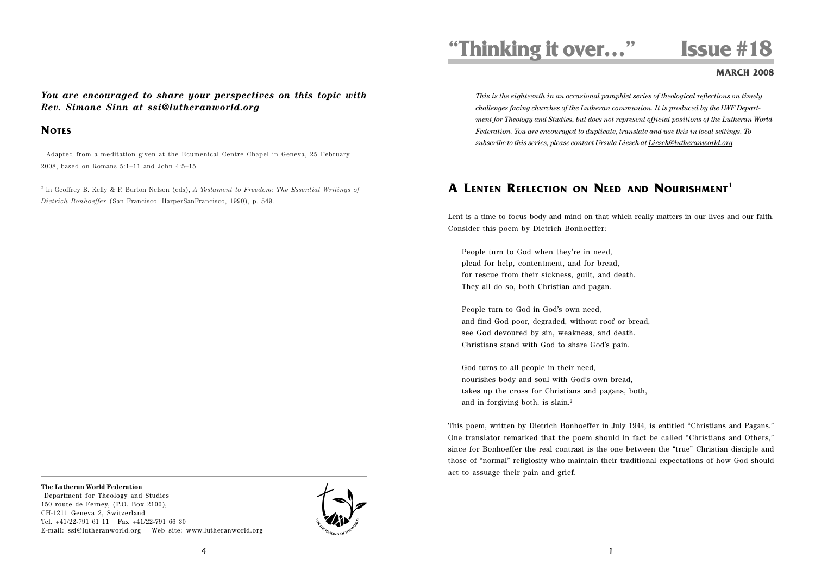# **"Thinking it over…" Issue #18**

#### **MARCH 2008**

*You are encouraged to share your perspectives on this topic with Rev. Simone Sinn at ssi@lutheranworld.org*

# **NOTES**

 $<sup>1</sup>$  Adapted from a meditation given at the Ecumenical Centre Chapel in Geneva, 25 February</sup> 2008, based on Romans  $5:1-11$  and John  $4:5-15$ .

<sup>2</sup> In Geoffrey B. Kelly & F. Burton Nelson (eds), *A Testament to Freedom: The Essential Writings of Dietrich Bonhoeffer* (San Francisco: HarperSanFrancisco, 1990), p. 549.

# *Federation. You are encouraged to duplicate, translate and use this in local settings. To subscribe to this series, please contact Ursula Liesch at Liesch@lutheranworld.org*

*This is the eighteenth in an occasional pamphlet series of theological reflections on timely challenges facing churches of the Lutheran communion. It is produced by the LWF Department for Theology and Studies, but does not represent official positions of the Lutheran World*

# **A LENTEN REFLECTION ON NEED AND NOURISHMENT**<sup>1</sup>

Lent is a time to focus body and mind on that which really matters in our lives and our faith. Consider this poem by Dietrich Bonhoeffer:

People turn to God when they're in need, plead for help, contentment, and for bread, for rescue from their sickness, guilt, and death. They all do so, both Christian and pagan.

People turn to God in God's own need, and find God poor, degraded, without roof or bread, see God devoured by sin, weakness, and death. Christians stand with God to share God's pain.

God turns to all people in their need, nourishes body and soul with God's own bread, takes up the cross for Christians and pagans, both, and in forgiving both, is slain.<sup>2</sup>

This poem, written by Dietrich Bonhoeffer in July 1944, is entitled "Christians and Pagans." One translator remarked that the poem should in fact be called "Christians and Others," since for Bonhoeffer the real contrast is the one between the "true" Christian disciple and those of "normal" religiosity who maintain their traditional expectations of how God should act to assuage their pain and grief.

#### **The Lutheran World Federation**

 Department for Theology and Studies 150 route de Ferney, (P.O. Box 2100), CH-1211 Geneva 2, Switzerland Tel. +41/22-791 61 11 Fax +41/22-791 66 30 E-mail: ssi@lutheranworld.org Web site: www.lutheranworld.org